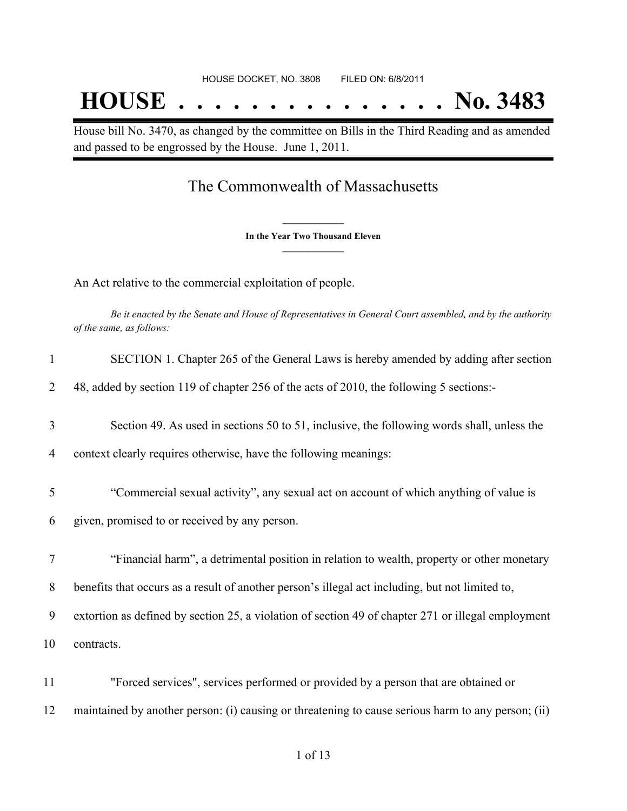House bill No. 3470, as changed by the committee on Bills in the Third Reading and as amended and passed to be engrossed by the House. June 1, 2011.

## The Commonwealth of Massachusetts

**\_\_\_\_\_\_\_\_\_\_\_\_\_\_\_ In the Year Two Thousand Eleven \_\_\_\_\_\_\_\_\_\_\_\_\_\_\_**

An Act relative to the commercial exploitation of people.

Be it enacted by the Senate and House of Representatives in General Court assembled, and by the authority *of the same, as follows:*

| SECTION 1. Chapter 265 of the General Laws is hereby amended by adding after section       |
|--------------------------------------------------------------------------------------------|
| 48, added by section 119 of chapter 256 of the acts of 2010, the following 5 sections:-    |
| Section 49. As used in sections 50 to 51, inclusive, the following words shall, unless the |

- 4 context clearly requires otherwise, have the following meanings:
- 5 "Commercial sexual activity", any sexual act on account of which anything of value is
- 6 given, promised to or received by any person.
- 7 "Financial harm", a detrimental position in relation to wealth, property or other monetary

8 benefits that occurs as a result of another person's illegal act including, but not limited to,

9 extortion as defined by section 25, a violation of section 49 of chapter 271 or illegal employment

10 contracts.

11 "Forced services", services performed or provided by a person that are obtained or 12 maintained by another person: (i) causing or threatening to cause serious harm to any person; (ii)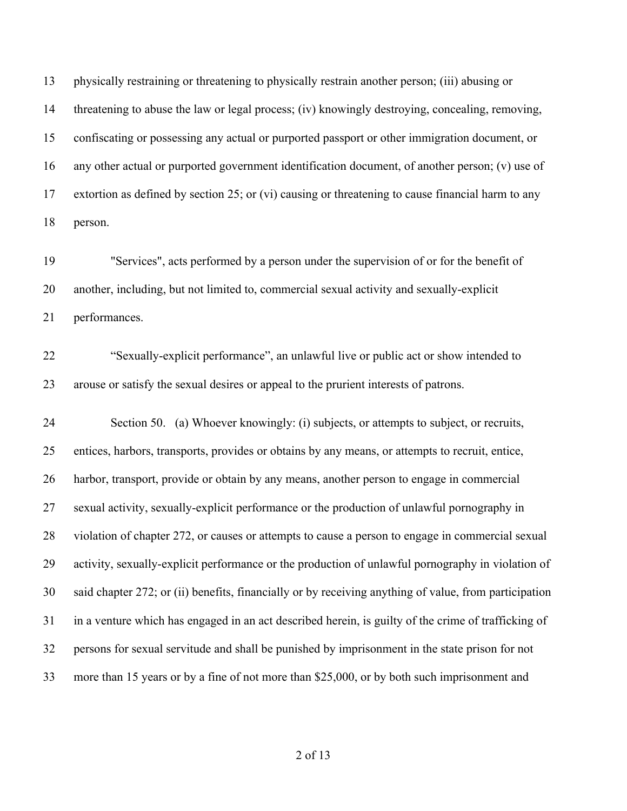physically restraining or threatening to physically restrain another person; (iii) abusing or threatening to abuse the law or legal process; (iv) knowingly destroying, concealing, removing, confiscating or possessing any actual or purported passport or other immigration document, or any other actual or purported government identification document, of another person; (v) use of extortion as defined by section 25; or (vi) causing or threatening to cause financial harm to any person.

 "Services", acts performed by a person under the supervision of or for the benefit of another, including, but not limited to, commercial sexual activity and sexually-explicit performances.

 "Sexually-explicit performance", an unlawful live or public act or show intended to arouse or satisfy the sexual desires or appeal to the prurient interests of patrons.

 Section 50. (a) Whoever knowingly: (i) subjects, or attempts to subject, or recruits, entices, harbors, transports, provides or obtains by any means, or attempts to recruit, entice, harbor, transport, provide or obtain by any means, another person to engage in commercial sexual activity, sexually-explicit performance or the production of unlawful pornography in violation of chapter 272, or causes or attempts to cause a person to engage in commercial sexual activity, sexually-explicit performance or the production of unlawful pornography in violation of said chapter 272; or (ii) benefits, financially or by receiving anything of value, from participation in a venture which has engaged in an act described herein, is guilty of the crime of trafficking of persons for sexual servitude and shall be punished by imprisonment in the state prison for not more than 15 years or by a fine of not more than \$25,000, or by both such imprisonment and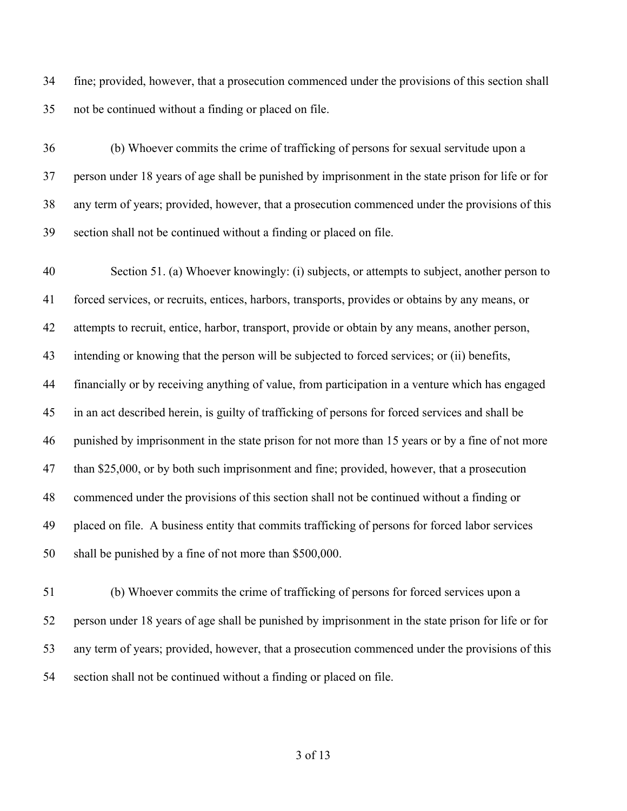fine; provided, however, that a prosecution commenced under the provisions of this section shall not be continued without a finding or placed on file.

 (b) Whoever commits the crime of trafficking of persons for sexual servitude upon a person under 18 years of age shall be punished by imprisonment in the state prison for life or for any term of years; provided, however, that a prosecution commenced under the provisions of this section shall not be continued without a finding or placed on file.

 Section 51. (a) Whoever knowingly: (i) subjects, or attempts to subject, another person to forced services, or recruits, entices, harbors, transports, provides or obtains by any means, or attempts to recruit, entice, harbor, transport, provide or obtain by any means, another person, intending or knowing that the person will be subjected to forced services; or (ii) benefits, financially or by receiving anything of value, from participation in a venture which has engaged in an act described herein, is guilty of trafficking of persons for forced services and shall be punished by imprisonment in the state prison for not more than 15 years or by a fine of not more than \$25,000, or by both such imprisonment and fine; provided, however, that a prosecution commenced under the provisions of this section shall not be continued without a finding or placed on file. A business entity that commits trafficking of persons for forced labor services shall be punished by a fine of not more than \$500,000.

 (b) Whoever commits the crime of trafficking of persons for forced services upon a person under 18 years of age shall be punished by imprisonment in the state prison for life or for any term of years; provided, however, that a prosecution commenced under the provisions of this section shall not be continued without a finding or placed on file.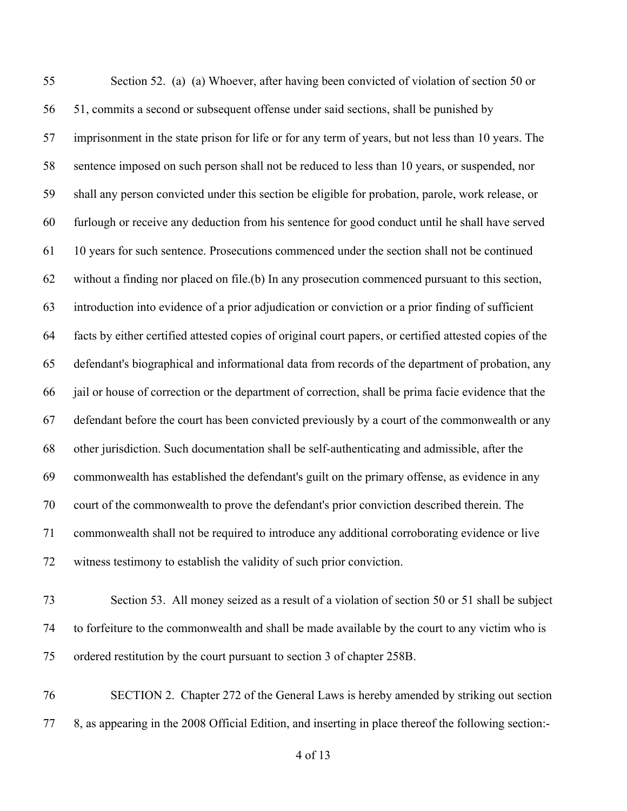Section 52. (a) (a) Whoever, after having been convicted of violation of section 50 or 51, commits a second or subsequent offense under said sections, shall be punished by imprisonment in the state prison for life or for any term of years, but not less than 10 years. The sentence imposed on such person shall not be reduced to less than 10 years, or suspended, nor shall any person convicted under this section be eligible for probation, parole, work release, or furlough or receive any deduction from his sentence for good conduct until he shall have served 10 years for such sentence. Prosecutions commenced under the section shall not be continued without a finding nor placed on file.(b) In any prosecution commenced pursuant to this section, introduction into evidence of a prior adjudication or conviction or a prior finding of sufficient facts by either certified attested copies of original court papers, or certified attested copies of the defendant's biographical and informational data from records of the department of probation, any jail or house of correction or the department of correction, shall be prima facie evidence that the defendant before the court has been convicted previously by a court of the commonwealth or any other jurisdiction. Such documentation shall be self-authenticating and admissible, after the commonwealth has established the defendant's guilt on the primary offense, as evidence in any court of the commonwealth to prove the defendant's prior conviction described therein. The commonwealth shall not be required to introduce any additional corroborating evidence or live witness testimony to establish the validity of such prior conviction.

- Section 53. All money seized as a result of a violation of section 50 or 51 shall be subject to forfeiture to the commonwealth and shall be made available by the court to any victim who is ordered restitution by the court pursuant to section 3 of chapter 258B.
- SECTION 2. Chapter 272 of the General Laws is hereby amended by striking out section 8, as appearing in the 2008 Official Edition, and inserting in place thereof the following section:-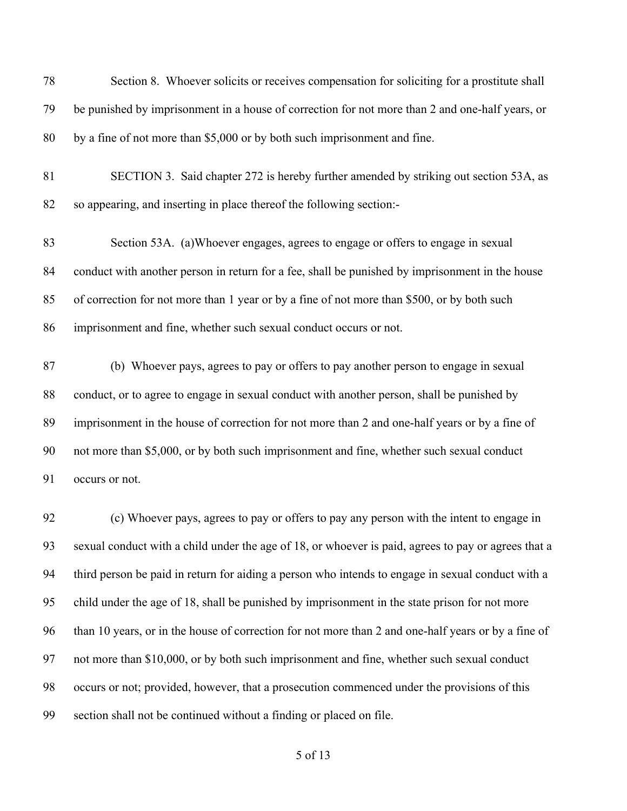Section 8. Whoever solicits or receives compensation for soliciting for a prostitute shall be punished by imprisonment in a house of correction for not more than 2 and one-half years, or by a fine of not more than \$5,000 or by both such imprisonment and fine. SECTION 3. Said chapter 272 is hereby further amended by striking out section 53A, as so appearing, and inserting in place thereof the following section:- Section 53A. (a)Whoever engages, agrees to engage or offers to engage in sexual conduct with another person in return for a fee, shall be punished by imprisonment in the house of correction for not more than 1 year or by a fine of not more than \$500, or by both such imprisonment and fine, whether such sexual conduct occurs or not. (b) Whoever pays, agrees to pay or offers to pay another person to engage in sexual conduct, or to agree to engage in sexual conduct with another person, shall be punished by imprisonment in the house of correction for not more than 2 and one-half years or by a fine of not more than \$5,000, or by both such imprisonment and fine, whether such sexual conduct occurs or not. (c) Whoever pays, agrees to pay or offers to pay any person with the intent to engage in sexual conduct with a child under the age of 18, or whoever is paid, agrees to pay or agrees that a third person be paid in return for aiding a person who intends to engage in sexual conduct with a

than 10 years, or in the house of correction for not more than 2 and one-half years or by a fine of

child under the age of 18, shall be punished by imprisonment in the state prison for not more

not more than \$10,000, or by both such imprisonment and fine, whether such sexual conduct

occurs or not; provided, however, that a prosecution commenced under the provisions of this

section shall not be continued without a finding or placed on file.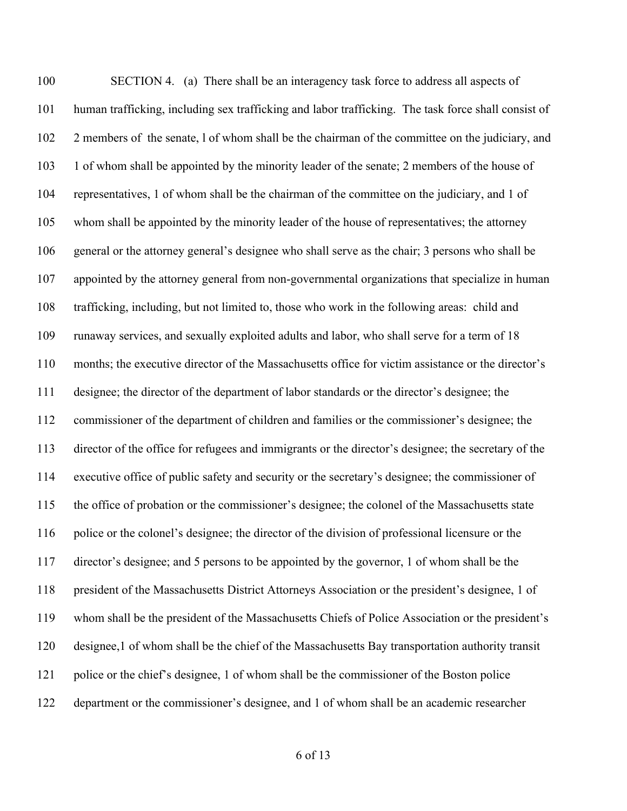SECTION 4. (a) There shall be an interagency task force to address all aspects of human trafficking, including sex trafficking and labor trafficking. The task force shall consist of 2 members of the senate, l of whom shall be the chairman of the committee on the judiciary, and 103 1 of whom shall be appointed by the minority leader of the senate; 2 members of the house of representatives, 1 of whom shall be the chairman of the committee on the judiciary, and 1 of whom shall be appointed by the minority leader of the house of representatives; the attorney general or the attorney general's designee who shall serve as the chair; 3 persons who shall be appointed by the attorney general from non-governmental organizations that specialize in human trafficking, including, but not limited to, those who work in the following areas: child and runaway services, and sexually exploited adults and labor, who shall serve for a term of 18 months; the executive director of the Massachusetts office for victim assistance or the director's designee; the director of the department of labor standards or the director's designee; the commissioner of the department of children and families or the commissioner's designee; the director of the office for refugees and immigrants or the director's designee; the secretary of the executive office of public safety and security or the secretary's designee; the commissioner of the office of probation or the commissioner's designee; the colonel of the Massachusetts state police or the colonel's designee; the director of the division of professional licensure or the director's designee; and 5 persons to be appointed by the governor, 1 of whom shall be the president of the Massachusetts District Attorneys Association or the president's designee, 1 of whom shall be the president of the Massachusetts Chiefs of Police Association or the president's designee,1 of whom shall be the chief of the Massachusetts Bay transportation authority transit police or the chief's designee, 1 of whom shall be the commissioner of the Boston police department or the commissioner's designee, and 1 of whom shall be an academic researcher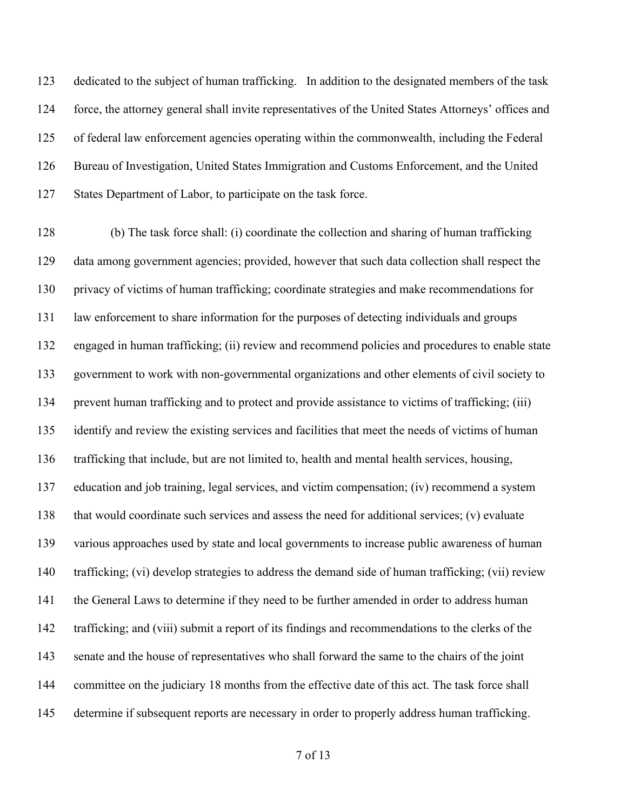dedicated to the subject of human trafficking. In addition to the designated members of the task force, the attorney general shall invite representatives of the United States Attorneys' offices and of federal law enforcement agencies operating within the commonwealth, including the Federal Bureau of Investigation, United States Immigration and Customs Enforcement, and the United States Department of Labor, to participate on the task force.

 (b) The task force shall: (i) coordinate the collection and sharing of human trafficking data among government agencies; provided, however that such data collection shall respect the privacy of victims of human trafficking; coordinate strategies and make recommendations for law enforcement to share information for the purposes of detecting individuals and groups engaged in human trafficking; (ii) review and recommend policies and procedures to enable state government to work with non-governmental organizations and other elements of civil society to prevent human trafficking and to protect and provide assistance to victims of trafficking; (iii) identify and review the existing services and facilities that meet the needs of victims of human trafficking that include, but are not limited to, health and mental health services, housing, education and job training, legal services, and victim compensation; (iv) recommend a system that would coordinate such services and assess the need for additional services; (v) evaluate various approaches used by state and local governments to increase public awareness of human trafficking; (vi) develop strategies to address the demand side of human trafficking; (vii) review the General Laws to determine if they need to be further amended in order to address human trafficking; and (viii) submit a report of its findings and recommendations to the clerks of the 143 senate and the house of representatives who shall forward the same to the chairs of the joint 144 committee on the judiciary 18 months from the effective date of this act. The task force shall determine if subsequent reports are necessary in order to properly address human trafficking.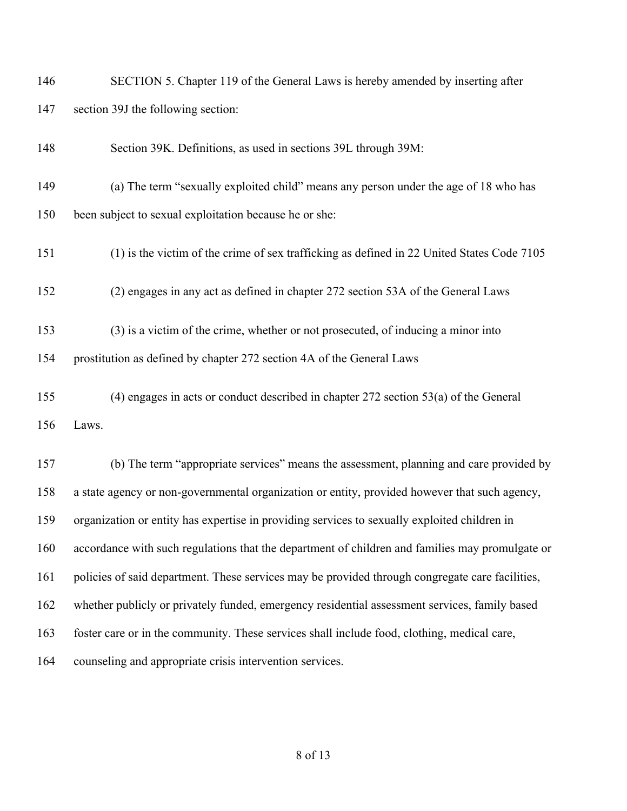| 146 | SECTION 5. Chapter 119 of the General Laws is hereby amended by inserting after                 |
|-----|-------------------------------------------------------------------------------------------------|
| 147 | section 39J the following section:                                                              |
| 148 | Section 39K. Definitions, as used in sections 39L through 39M:                                  |
| 149 | (a) The term "sexually exploited child" means any person under the age of 18 who has            |
| 150 | been subject to sexual exploitation because he or she:                                          |
| 151 | (1) is the victim of the crime of sex trafficking as defined in 22 United States Code 7105      |
| 152 | (2) engages in any act as defined in chapter 272 section 53A of the General Laws                |
| 153 | (3) is a victim of the crime, whether or not prosecuted, of inducing a minor into               |
| 154 | prostitution as defined by chapter 272 section 4A of the General Laws                           |
| 155 | $(4)$ engages in acts or conduct described in chapter 272 section 53 $(a)$ of the General       |
| 156 | Laws.                                                                                           |
| 157 | (b) The term "appropriate services" means the assessment, planning and care provided by         |
| 158 | a state agency or non-governmental organization or entity, provided however that such agency,   |
| 159 | organization or entity has expertise in providing services to sexually exploited children in    |
| 160 | accordance with such regulations that the department of children and families may promulgate or |
| 161 | policies of said department. These services may be provided through congregate care facilities, |
| 162 | whether publicly or privately funded, emergency residential assessment services, family based   |
| 163 | foster care or in the community. These services shall include food, clothing, medical care,     |
| 164 | counseling and appropriate crisis intervention services.                                        |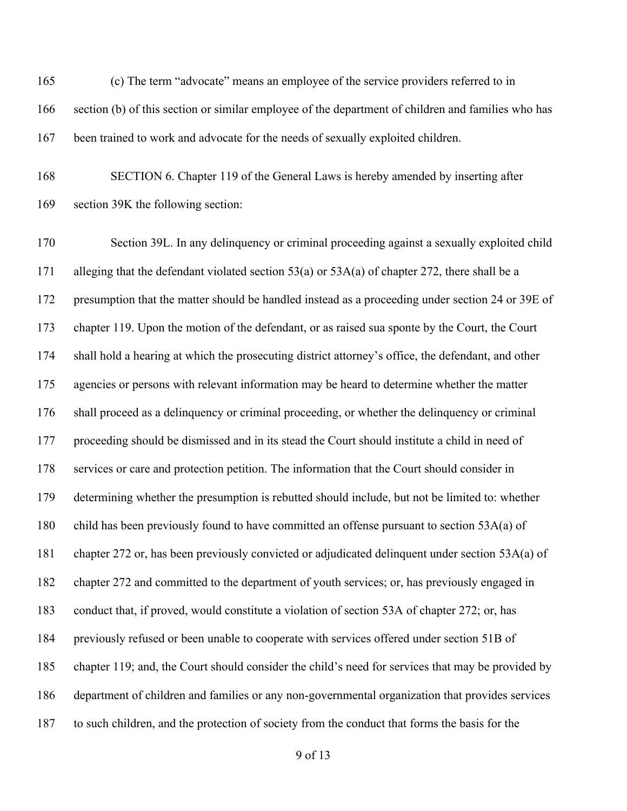(c) The term "advocate" means an employee of the service providers referred to in section (b) of this section or similar employee of the department of children and families who has been trained to work and advocate for the needs of sexually exploited children.

 SECTION 6. Chapter 119 of the General Laws is hereby amended by inserting after section 39K the following section:

 Section 39L. In any delinquency or criminal proceeding against a sexually exploited child alleging that the defendant violated section 53(a) or 53A(a) of chapter 272, there shall be a presumption that the matter should be handled instead as a proceeding under section 24 or 39E of chapter 119. Upon the motion of the defendant, or as raised sua sponte by the Court, the Court shall hold a hearing at which the prosecuting district attorney's office, the defendant, and other agencies or persons with relevant information may be heard to determine whether the matter shall proceed as a delinquency or criminal proceeding, or whether the delinquency or criminal proceeding should be dismissed and in its stead the Court should institute a child in need of services or care and protection petition. The information that the Court should consider in determining whether the presumption is rebutted should include, but not be limited to: whether child has been previously found to have committed an offense pursuant to section 53A(a) of chapter 272 or, has been previously convicted or adjudicated delinquent under section 53A(a) of chapter 272 and committed to the department of youth services; or, has previously engaged in conduct that, if proved, would constitute a violation of section 53A of chapter 272; or, has previously refused or been unable to cooperate with services offered under section 51B of chapter 119; and, the Court should consider the child's need for services that may be provided by department of children and families or any non-governmental organization that provides services to such children, and the protection of society from the conduct that forms the basis for the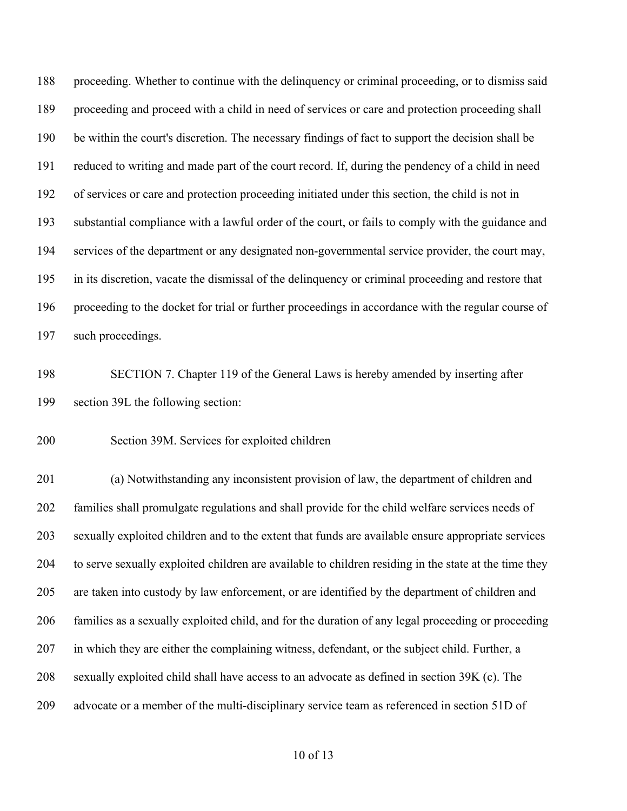proceeding. Whether to continue with the delinquency or criminal proceeding, or to dismiss said proceeding and proceed with a child in need of services or care and protection proceeding shall be within the court's discretion. The necessary findings of fact to support the decision shall be reduced to writing and made part of the court record. If, during the pendency of a child in need of services or care and protection proceeding initiated under this section, the child is not in substantial compliance with a lawful order of the court, or fails to comply with the guidance and services of the department or any designated non-governmental service provider, the court may, in its discretion, vacate the dismissal of the delinquency or criminal proceeding and restore that proceeding to the docket for trial or further proceedings in accordance with the regular course of such proceedings.

 SECTION 7. Chapter 119 of the General Laws is hereby amended by inserting after section 39L the following section:

Section 39M. Services for exploited children

 (a) Notwithstanding any inconsistent provision of law, the department of children and families shall promulgate regulations and shall provide for the child welfare services needs of sexually exploited children and to the extent that funds are available ensure appropriate services to serve sexually exploited children are available to children residing in the state at the time they are taken into custody by law enforcement, or are identified by the department of children and families as a sexually exploited child, and for the duration of any legal proceeding or proceeding in which they are either the complaining witness, defendant, or the subject child. Further, a sexually exploited child shall have access to an advocate as defined in section 39K (c). The advocate or a member of the multi-disciplinary service team as referenced in section 51D of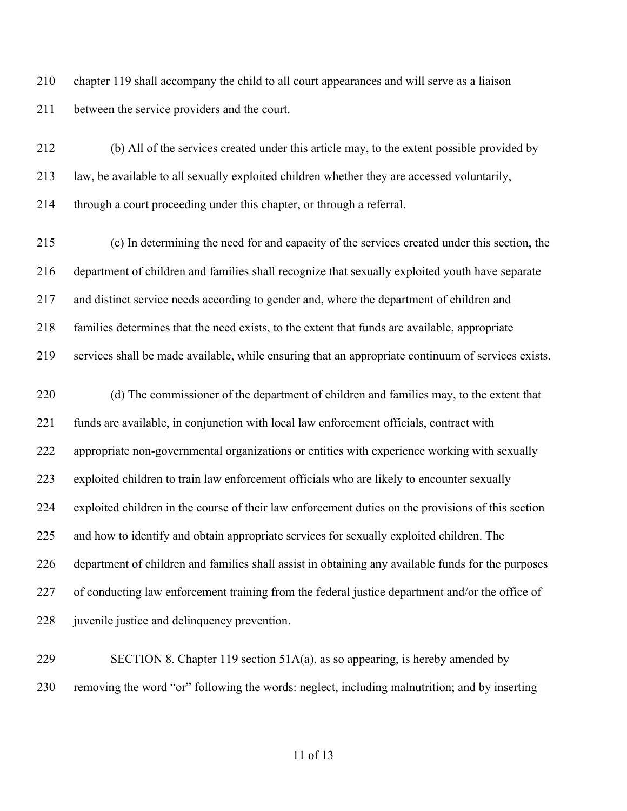chapter 119 shall accompany the child to all court appearances and will serve as a liaison between the service providers and the court.

 (b) All of the services created under this article may, to the extent possible provided by law, be available to all sexually exploited children whether they are accessed voluntarily, through a court proceeding under this chapter, or through a referral.

 (c) In determining the need for and capacity of the services created under this section, the department of children and families shall recognize that sexually exploited youth have separate and distinct service needs according to gender and, where the department of children and families determines that the need exists, to the extent that funds are available, appropriate services shall be made available, while ensuring that an appropriate continuum of services exists.

 (d) The commissioner of the department of children and families may, to the extent that funds are available, in conjunction with local law enforcement officials, contract with appropriate non-governmental organizations or entities with experience working with sexually exploited children to train law enforcement officials who are likely to encounter sexually exploited children in the course of their law enforcement duties on the provisions of this section and how to identify and obtain appropriate services for sexually exploited children. The department of children and families shall assist in obtaining any available funds for the purposes 227 of conducting law enforcement training from the federal justice department and/or the office of 228 juvenile justice and delinquency prevention.

229 SECTION 8. Chapter 119 section  $51A(a)$ , as so appearing, is hereby amended by removing the word "or" following the words: neglect, including malnutrition; and by inserting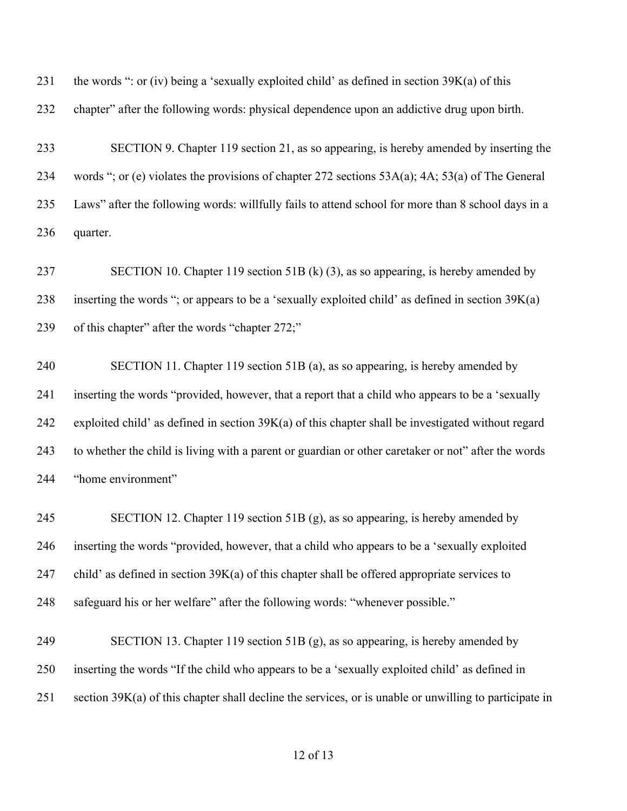231 the words ": or (iv) being a 'sexually exploited child' as defined in section  $39K(a)$  of this

chapter" after the following words: physical dependence upon an addictive drug upon birth.

 SECTION 9. Chapter 119 section 21, as so appearing, is hereby amended by inserting the words "; or (e) violates the provisions of chapter 272 sections 53A(a); 4A; 53(a) of The General Laws" after the following words: willfully fails to attend school for more than 8 school days in a quarter.

 SECTION 10. Chapter 119 section 51B (k) (3), as so appearing, is hereby amended by inserting the words "; or appears to be a 'sexually exploited child' as defined in section 39K(a) of this chapter" after the words "chapter 272;"

 SECTION 11. Chapter 119 section 51B (a), as so appearing, is hereby amended by inserting the words "provided, however, that a report that a child who appears to be a 'sexually exploited child' as defined in section 39K(a) of this chapter shall be investigated without regard to whether the child is living with a parent or guardian or other caretaker or not" after the words "home environment"

 SECTION 12. Chapter 119 section 51B (g), as so appearing, is hereby amended by inserting the words "provided, however, that a child who appears to be a 'sexually exploited child' as defined in section 39K(a) of this chapter shall be offered appropriate services to safeguard his or her welfare" after the following words: "whenever possible."

 SECTION 13. Chapter 119 section 51B (g), as so appearing, is hereby amended by inserting the words "If the child who appears to be a 'sexually exploited child' as defined in section 39K(a) of this chapter shall decline the services, or is unable or unwilling to participate in